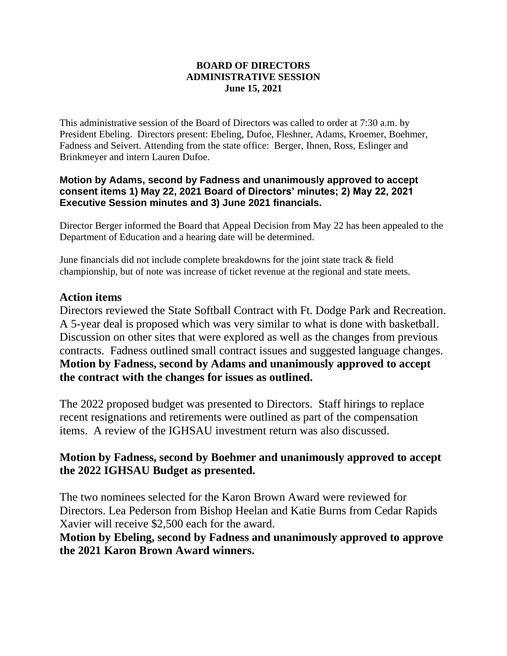#### **BOARD OF DIRECTORS ADMINISTRATIVE SESSION June 15, 2021**

This administrative session of the Board of Directors was called to order at 7:30 a.m. by President Ebeling. Directors present: Ebeling, Dufoe, Fleshner, Adams, Kroemer, Boehmer, Fadness and Seivert. Attending from the state office: Berger, Ihnen, Ross, Eslinger and Brinkmeyer and intern Lauren Dufoe.

#### **Motion by Adams, second by Fadness and unanimously approved to accept consent items 1) May 22, 2021 Board of Directors' minutes; 2) May 22, 2021 Executive Session minutes and 3) June 2021 financials.**

Director Berger informed the Board that Appeal Decision from May 22 has been appealed to the Department of Education and a hearing date will be determined.

June financials did not include complete breakdowns for the joint state track & field championship, but of note was increase of ticket revenue at the regional and state meets.

## **Action items**

Directors reviewed the State Softball Contract with Ft. Dodge Park and Recreation. A 5-year deal is proposed which was very similar to what is done with basketball. Discussion on other sites that were explored as well as the changes from previous contracts. Fadness outlined small contract issues and suggested language changes. **Motion by Fadness, second by Adams and unanimously approved to accept the contract with the changes for issues as outlined.**

The 2022 proposed budget was presented to Directors. Staff hirings to replace recent resignations and retirements were outlined as part of the compensation items. A review of the IGHSAU investment return was also discussed.

## **Motion by Fadness, second by Boehmer and unanimously approved to accept the 2022 IGHSAU Budget as presented.**

The two nominees selected for the Karon Brown Award were reviewed for Directors. Lea Pederson from Bishop Heelan and Katie Burns from Cedar Rapids Xavier will receive \$2,500 each for the award.

**Motion by Ebeling, second by Fadness and unanimously approved to approve the 2021 Karon Brown Award winners.**